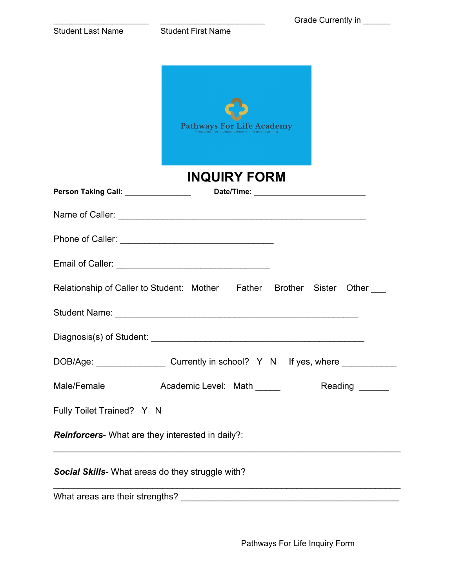|                                                  | Grade Currently in _____                                                          |
|--------------------------------------------------|-----------------------------------------------------------------------------------|
| <b>Student Last Name</b>                         | <b>Student First Name</b>                                                         |
|                                                  |                                                                                   |
|                                                  |                                                                                   |
|                                                  |                                                                                   |
|                                                  |                                                                                   |
|                                                  | Pathways For Life Academy                                                         |
|                                                  |                                                                                   |
|                                                  | <b>INQUIRY FORM</b>                                                               |
| Person Taking Call: __________________           |                                                                                   |
|                                                  |                                                                                   |
|                                                  |                                                                                   |
|                                                  |                                                                                   |
|                                                  | Relationship of Caller to Student: Mother Father Brother Sister<br>Other          |
|                                                  |                                                                                   |
|                                                  |                                                                                   |
|                                                  | DOB/Age: _______________________Currently in school? Y N If yes, where __________ |
| Male/Female                                      | Academic Level: Math ______<br>Reading ______                                     |
| Fully Toilet Trained? Y N                        |                                                                                   |
| Reinforcers- What are they interested in daily?: |                                                                                   |
| Social Skills- What areas do they struggle with? |                                                                                   |
|                                                  |                                                                                   |

Pathways For Life Inquiry Form